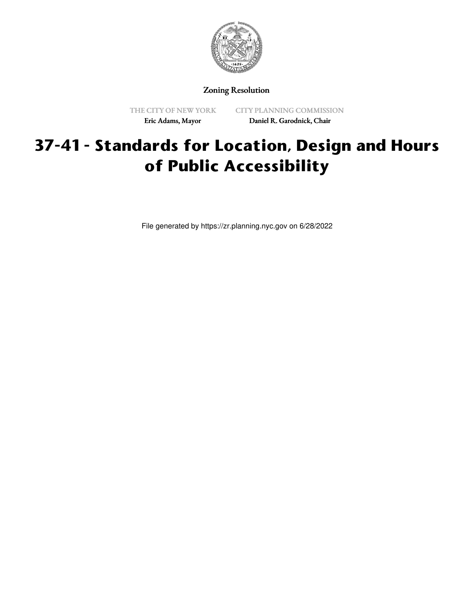

Zoning Resolution

THE CITY OF NEW YORK Eric Adams, Mayor

CITY PLANNING COMMISSION Daniel R. Garodnick, Chair

# **37-41 - Standards for Location, Design and Hours of Public Accessibility**

File generated by https://zr.planning.nyc.gov on 6/28/2022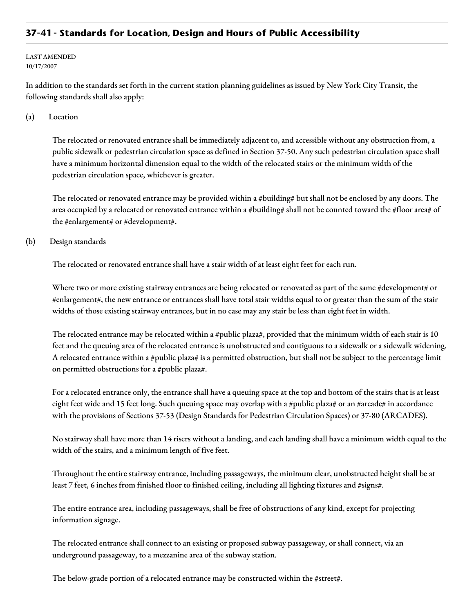### **37-41 - Standards for Location, Design and Hours of Public Accessibility**

LAST AMENDED 10/17/2007

In addition to the standards set forth in the current station planning guidelines as issued by New York City Transit, the following standards shall also apply:

#### (a) Location

The relocated or renovated entrance shall be immediately adjacent to, and accessible without any obstruction from, a public sidewalk or pedestrian circulation space as defined in Section 37-50. Any such pedestrian circulation space shall have a minimum horizontal dimension equal to the width of the relocated stairs or the minimum width of the pedestrian circulation space, whichever is greater.

The relocated or renovated entrance may be provided within a #building# but shall not be enclosed by any doors. The area occupied by a relocated or renovated entrance within a #building# shall not be counted toward the #floor area# of the #enlargement# or #development#.

#### (b) Design standards

The relocated or renovated entrance shall have a stair width of at least eight feet for each run.

Where two or more existing stairway entrances are being relocated or renovated as part of the same #development# or #enlargement#, the new entrance or entrances shall have total stair widths equal to or greater than the sum of the stair widths of those existing stairway entrances, but in no case may any stair be less than eight feet in width.

The relocated entrance may be relocated within a #public plaza#, provided that the minimum width of each stair is 10 feet and the queuing area of the relocated entrance is unobstructed and contiguous to a sidewalk or a sidewalk widening. A relocated entrance within a #public plaza# is a permitted obstruction, but shall not be subject to the percentage limit on permitted obstructions for a #public plaza#.

For a relocated entrance only, the entrance shall have a queuing space at the top and bottom of the stairs that is at least eight feet wide and 15 feet long. Such queuing space may overlap with a #public plaza# or an #arcade# in accordance with the provisions of Sections 37-53 (Design Standards for Pedestrian Circulation Spaces) or 37-80 (ARCADES).

No stairway shall have more than 14 risers without a landing, and each landing shall have a minimum width equal to the width of the stairs, and a minimum length of five feet.

Throughout the entire stairway entrance, including passageways, the minimum clear, unobstructed height shall be at least 7 feet, 6 inches from finished floor to finished ceiling, including all lighting fixtures and #signs#.

The entire entrance area, including passageways, shall be free of obstructions of any kind, except for projecting information signage.

The relocated entrance shall connect to an existing or proposed subway passageway, or shall connect, via an underground passageway, to a mezzanine area of the subway station.

The below-grade portion of a relocated entrance may be constructed within the #street#.